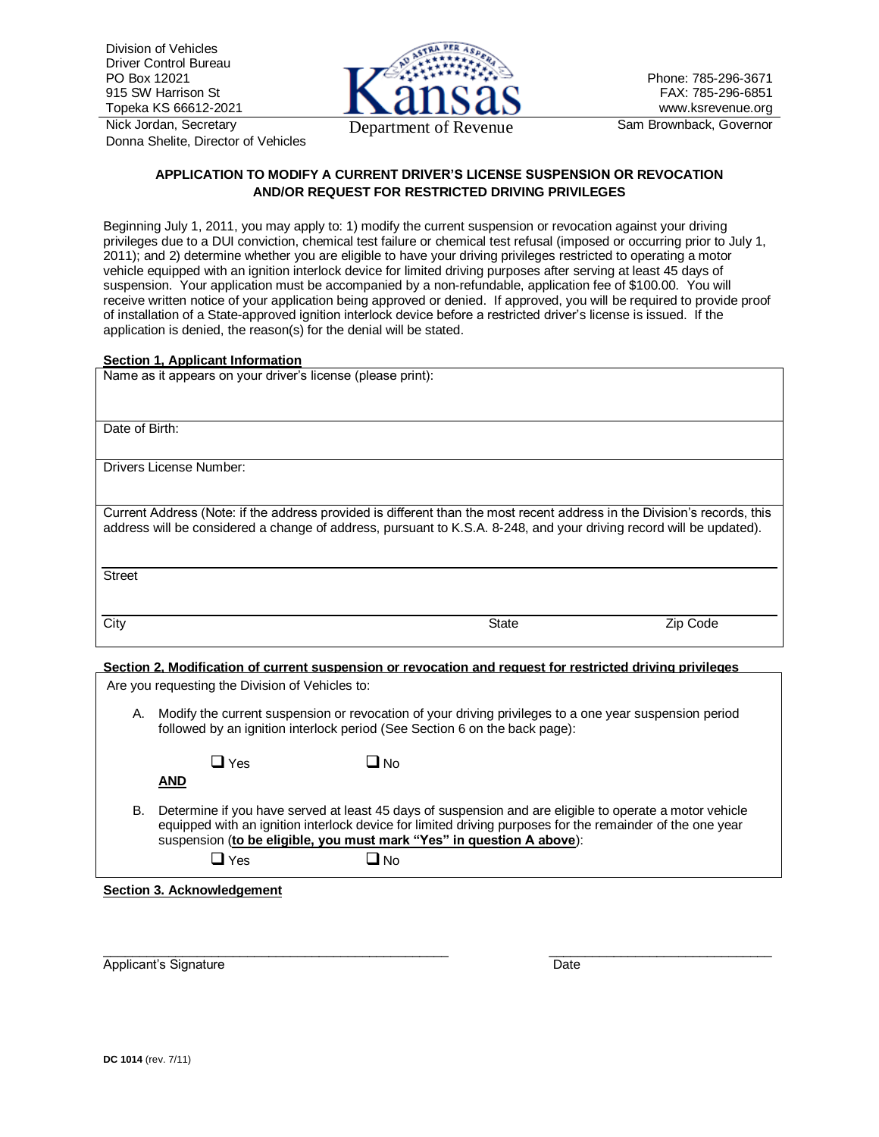Division of Vehicles Driver Control Bureau PO Box 12021 915 SW Harrison St Topeka KS 66612-2021

Nick Jordan, Secretary Donna Shelite, Director of Vehicles



Phone: 785-296-3671 FAX: 785-296-6851 www.ksrevenue.org

# **APPLICATION TO MODIFY A CURRENT DRIVER'S LICENSE SUSPENSION OR REVOCATION AND/OR REQUEST FOR RESTRICTED DRIVING PRIVILEGES**

Beginning July 1, 2011, you may apply to: 1) modify the current suspension or revocation against your driving privileges due to a DUI conviction, chemical test failure or chemical test refusal (imposed or occurring prior to July 1, 2011); and 2) determine whether you are eligible to have your driving privileges restricted to operating a motor vehicle equipped with an ignition interlock device for limited driving purposes after serving at least 45 days of suspension. Your application must be accompanied by a non-refundable, application fee of \$100.00. You will receive written notice of your application being approved or denied. If approved, you will be required to provide proof of installation of a State-approved ignition interlock device before a restricted driver's license is issued. If the application is denied, the reason(s) for the denial will be stated.

## **Section 1, Applicant Information**

| Name as it appears on your driver's license (please print):                                                                                                                                                                                     |             |          |  |  |  |  |  |
|-------------------------------------------------------------------------------------------------------------------------------------------------------------------------------------------------------------------------------------------------|-------------|----------|--|--|--|--|--|
| Date of Birth:                                                                                                                                                                                                                                  |             |          |  |  |  |  |  |
| <b>Drivers License Number:</b>                                                                                                                                                                                                                  |             |          |  |  |  |  |  |
| Current Address (Note: if the address provided is different than the most recent address in the Division's records, this<br>address will be considered a change of address, pursuant to K.S.A. 8-248, and your driving record will be updated). |             |          |  |  |  |  |  |
| <b>Street</b>                                                                                                                                                                                                                                   |             |          |  |  |  |  |  |
| City                                                                                                                                                                                                                                            | State       | Zip Code |  |  |  |  |  |
| Section 2. Modification of current suspension or revocation and request for restricted driving privileges                                                                                                                                       |             |          |  |  |  |  |  |
| Are you requesting the Division of Vehicles to:                                                                                                                                                                                                 |             |          |  |  |  |  |  |
| Modify the current suspension or revocation of your driving privileges to a one year suspension period<br>А.<br>followed by an ignition interlock period (See Section 6 on the back page):                                                      |             |          |  |  |  |  |  |
| <b>J</b> Yes                                                                                                                                                                                                                                    | No <b>L</b> |          |  |  |  |  |  |

- **AND**
- 

- B. Determine if you have served at least 45 days of suspension and are eligible to operate a motor vehicle equipped with an ignition interlock device for limited driving purposes for the remainder of the one year suspension (**to be eligible, you must mark "Yes" in question A above**):
	-

 $\Box$  Yes  $\Box$  No

**Section 3. Acknowledgement**

\_\_\_\_\_\_\_\_\_\_\_\_\_\_\_\_\_\_\_\_\_\_\_\_\_\_\_\_\_\_\_\_\_\_\_\_\_\_\_\_\_\_\_\_\_\_\_\_ \_\_\_\_\_\_\_\_\_\_\_\_\_\_\_\_\_\_\_\_\_\_\_\_\_\_\_\_\_\_\_ Applicant's Signature Date Date Date